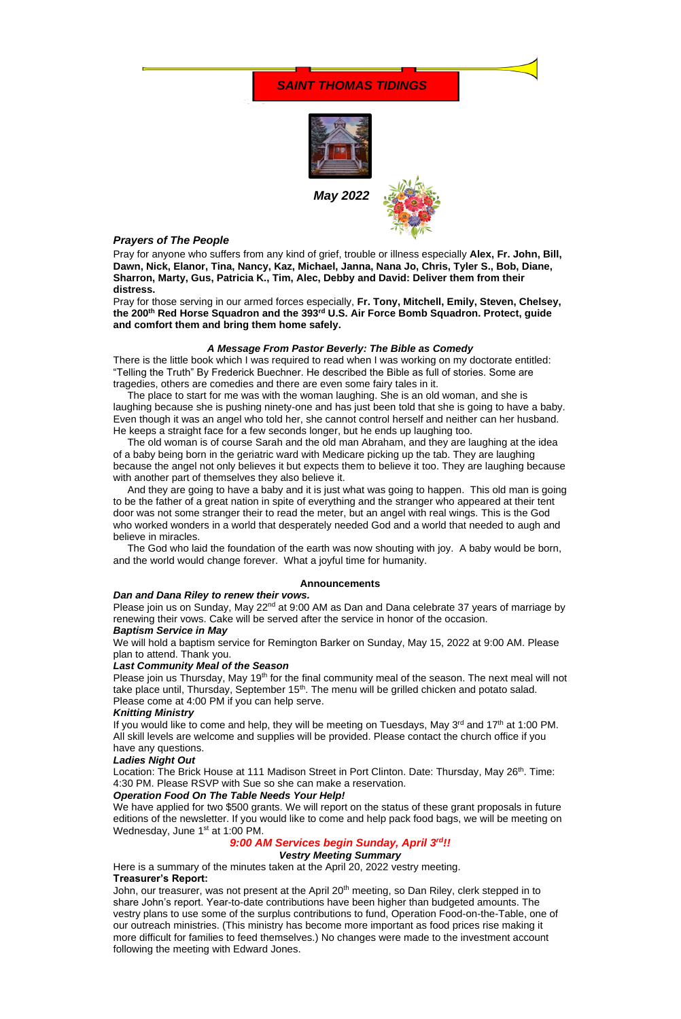*May 2022*



# *Prayers of The People*

Pray for anyone who suffers from any kind of grief, trouble or illness especially **Alex, Fr. John, Bill, Dawn, Nick, Elanor, Tina, Nancy, Kaz, Michael, Janna, Nana Jo, Chris, Tyler S., Bob, Diane, Sharron, Marty, Gus, Patricia K., Tim, Alec, Debby and David: Deliver them from their distress.** 

Pray for those serving in our armed forces especially, **Fr. Tony, Mitchell, Emily, Steven, Chelsey, the 200th Red Horse Squadron and the 393rd U.S. Air Force Bomb Squadron. Protect, guide and comfort them and bring them home safely.**

## *A Message From Pastor Beverly: The Bible as Comedy*

There is the little book which I was required to read when I was working on my doctorate entitled: "Telling the Truth" By Frederick Buechner. He described the Bible as full of stories. Some are tragedies, others are comedies and there are even some fairy tales in it.

 The place to start for me was with the woman laughing. She is an old woman, and she is laughing because she is pushing ninety-one and has just been told that she is going to have a baby. Even though it was an angel who told her, she cannot control herself and neither can her husband. He keeps a straight face for a few seconds longer, but he ends up laughing too.

Please join us on Sunday, May 22<sup>nd</sup> at 9:00 AM as Dan and Dana celebrate 37 years of marriage by renewing their vows. Cake will be served after the service in honor of the occasion.

Please join us Thursday, May 19<sup>th</sup> for the final community meal of the season. The next meal will not take place until, Thursday, September 15<sup>th</sup>. The menu will be grilled chicken and potato salad. Please come at 4:00 PM if you can help serve.

 The old woman is of course Sarah and the old man Abraham, and they are laughing at the idea of a baby being born in the geriatric ward with Medicare picking up the tab. They are laughing because the angel not only believes it but expects them to believe it too. They are laughing because with another part of themselves they also believe it.

If you would like to come and help, they will be meeting on Tuesdays, May  $3^{rd}$  and  $17^{th}$  at 1:00 PM. All skill levels are welcome and supplies will be provided. Please contact the church office if you have any questions.

Location: The Brick House at 111 Madison Street in Port Clinton. Date: Thursday, May 26<sup>th</sup>. Time: 4:30 PM. Please RSVP with Sue so she can make a reservation.

 And they are going to have a baby and it is just what was going to happen. This old man is going to be the father of a great nation in spite of everything and the stranger who appeared at their tent door was not some stranger their to read the meter, but an angel with real wings. This is the God who worked wonders in a world that desperately needed God and a world that needed to augh and believe in miracles.

 The God who laid the foundation of the earth was now shouting with joy. A baby would be born, and the world would change forever. What a joyful time for humanity.

John, our treasurer, was not present at the April 20<sup>th</sup> meeting, so Dan Riley, clerk stepped in to share John's report. Year-to-date contributions have been higher than budgeted amounts. The vestry plans to use some of the surplus contributions to fund, Operation Food-on-the-Table, one of our outreach ministries. (This ministry has become more important as food prices rise making it more difficult for families to feed themselves.) No changes were made to the investment account following the meeting with Edward Jones.

### **Announcements**

#### *Dan and Dana Riley to renew their vows.*

### *Baptism Service in May*

We will hold a baptism service for Remington Barker on Sunday, May 15, 2022 at 9:00 AM. Please plan to attend. Thank you.

### *Last Community Meal of the Season*

#### *Knitting Ministry*

# *Ladies Night Out*

### *Operation Food On The Table Needs Your Help!*

We have applied for two \$500 grants. We will report on the status of these grant proposals in future editions of the newsletter. If you would like to come and help pack food bags, we will be meeting on Wednesday, June 1<sup>st</sup> at 1:00 PM.

# *9:00 AM Services begin Sunday, April 3rd!!*

### *Vestry Meeting Summary*

Here is a summary of the minutes taken at the April 20, 2022 vestry meeting.

### **Treasurer's Report:**

# *SAINT THOMAS TIDINGS*